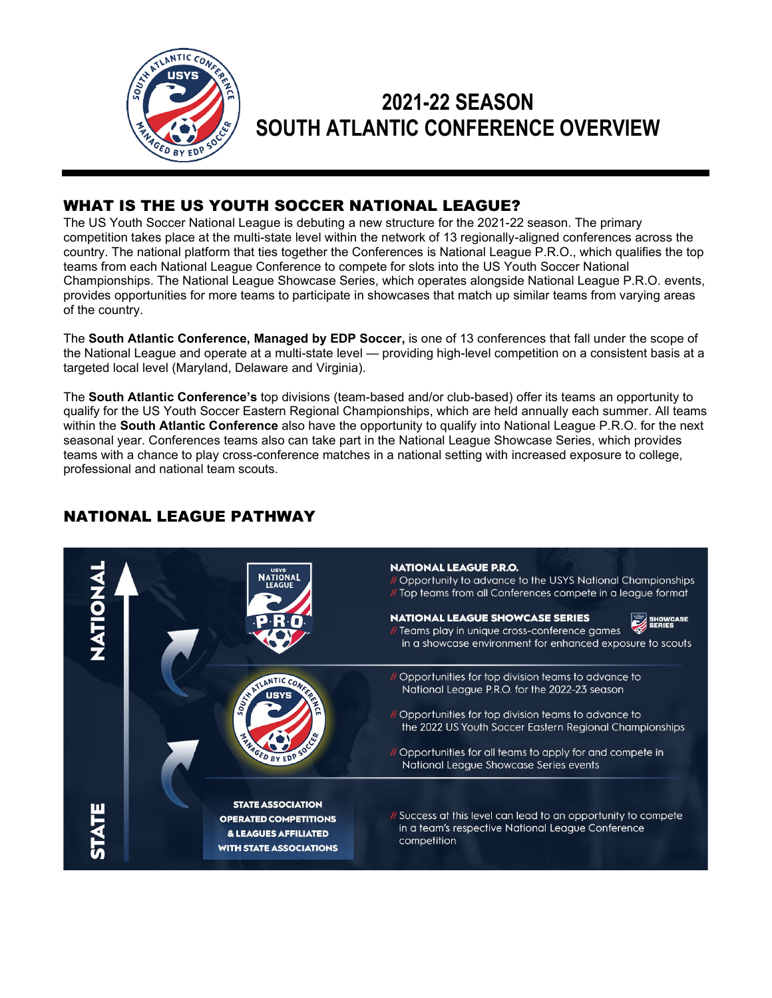

# **2021-22 SEASON SOUTH ATLANTIC CONFERENCE OVERVIEW**

# WHAT IS THE US YOUTH SOCCER NATIONAL LEAGUE?

The US Youth Soccer National League is debuting a new structure for the 2021-22 season. The primary competition takes place at the multi-state level within the network of 13 regionally-aligned conferences across the country. The national platform that ties together the Conferences is National League P.R.O., which qualifies the top teams from each National League Conference to compete for slots into the US Youth Soccer National Championships. The National League Showcase Series, which operates alongside National League P.R.O. events, provides opportunities for more teams to participate in showcases that match up similar teams from varying areas of the country.

The **South Atlantic Conference, Managed by EDP Soccer,** is one of 13 conferences that fall under the scope of the National League and operate at a multi-state level — providing high-level competition on a consistent basis at a targeted local level (Maryland, Delaware and Virginia).

The **South Atlantic Conference's** top divisions (team-based and/or club-based) offer its teams an opportunity to qualify for the US Youth Soccer Eastern Regional Championships, which are held annually each summer. All teams within the **South Atlantic Conference** also have the opportunity to qualify into National League P.R.O. for the next seasonal year. Conferences teams also can take part in the National League Showcase Series, which provides teams with a chance to play cross-conference matches in a national setting with increased exposure to college, professional and national team scouts.

# NATIONAL LEAGUE PATHWAY

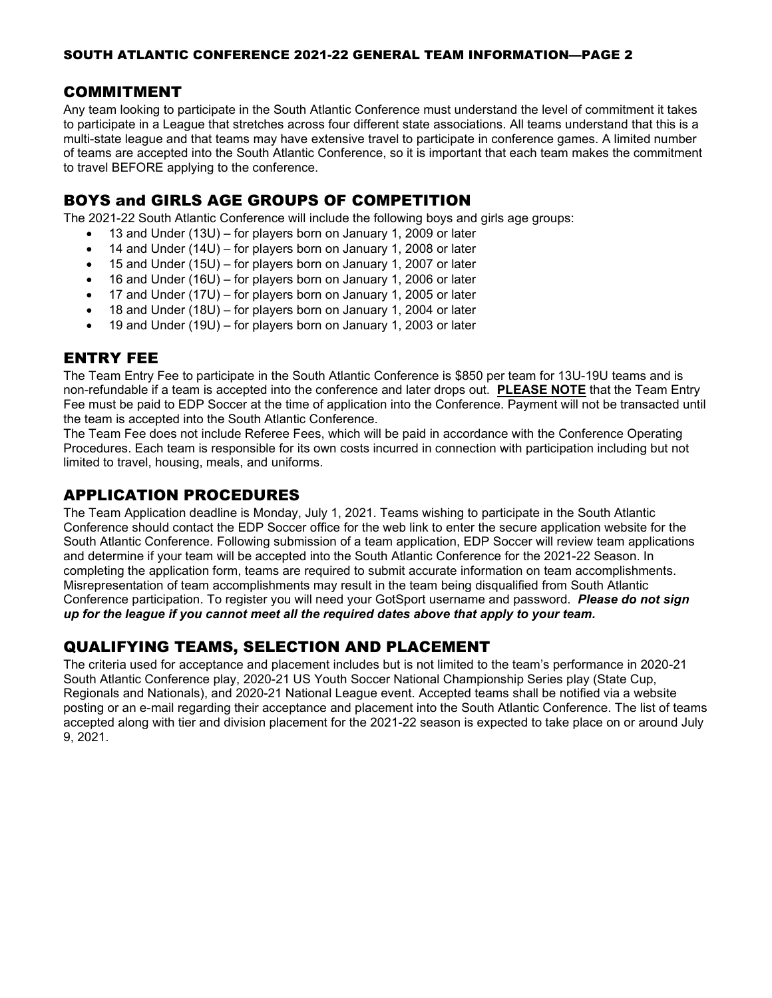# COMMITMENT

Any team looking to participate in the South Atlantic Conference must understand the level of commitment it takes to participate in a League that stretches across four different state associations. All teams understand that this is a multi-state league and that teams may have extensive travel to participate in conference games. A limited number of teams are accepted into the South Atlantic Conference, so it is important that each team makes the commitment to travel BEFORE applying to the conference.

# BOYS and GIRLS AGE GROUPS OF COMPETITION

The 2021-22 South Atlantic Conference will include the following boys and girls age groups:

- 13 and Under (13U) for players born on January 1, 2009 or later
- 14 and Under (14U) for players born on January 1, 2008 or later
- 15 and Under (15U) for players born on January 1, 2007 or later
- 16 and Under (16U) for players born on January 1, 2006 or later
- 17 and Under (17U) for players born on January 1, 2005 or later
- 18 and Under (18U) for players born on January 1, 2004 or later
- 19 and Under (19U) for players born on January 1, 2003 or later

#### ENTRY FEE

The Team Entry Fee to participate in the South Atlantic Conference is \$850 per team for 13U-19U teams and is non-refundable if a team is accepted into the conference and later drops out. **PLEASE NOTE** that the Team Entry Fee must be paid to EDP Soccer at the time of application into the Conference. Payment will not be transacted until the team is accepted into the South Atlantic Conference.

The Team Fee does not include Referee Fees, which will be paid in accordance with the Conference Operating Procedures. Each team is responsible for its own costs incurred in connection with participation including but not limited to travel, housing, meals, and uniforms.

#### APPLICATION PROCEDURES

The Team Application deadline is Monday, July 1, 2021. Teams wishing to participate in the South Atlantic Conference should contact the EDP Soccer office for the web link to enter the secure application website for the South Atlantic Conference. Following submission of a team application, EDP Soccer will review team applications and determine if your team will be accepted into the South Atlantic Conference for the 2021-22 Season. In completing the application form, teams are required to submit accurate information on team accomplishments. Misrepresentation of team accomplishments may result in the team being disqualified from South Atlantic Conference participation. To register you will need your GotSport username and password. *Please do not sign up for the league if you cannot meet all the required dates above that apply to your team.*

# QUALIFYING TEAMS, SELECTION AND PLACEMENT

The criteria used for acceptance and placement includes but is not limited to the team's performance in 2020-21 South Atlantic Conference play, 2020-21 US Youth Soccer National Championship Series play (State Cup, Regionals and Nationals), and 2020-21 National League event. Accepted teams shall be notified via a website posting or an e-mail regarding their acceptance and placement into the South Atlantic Conference. The list of teams accepted along with tier and division placement for the 2021-22 season is expected to take place on or around July 9, 2021.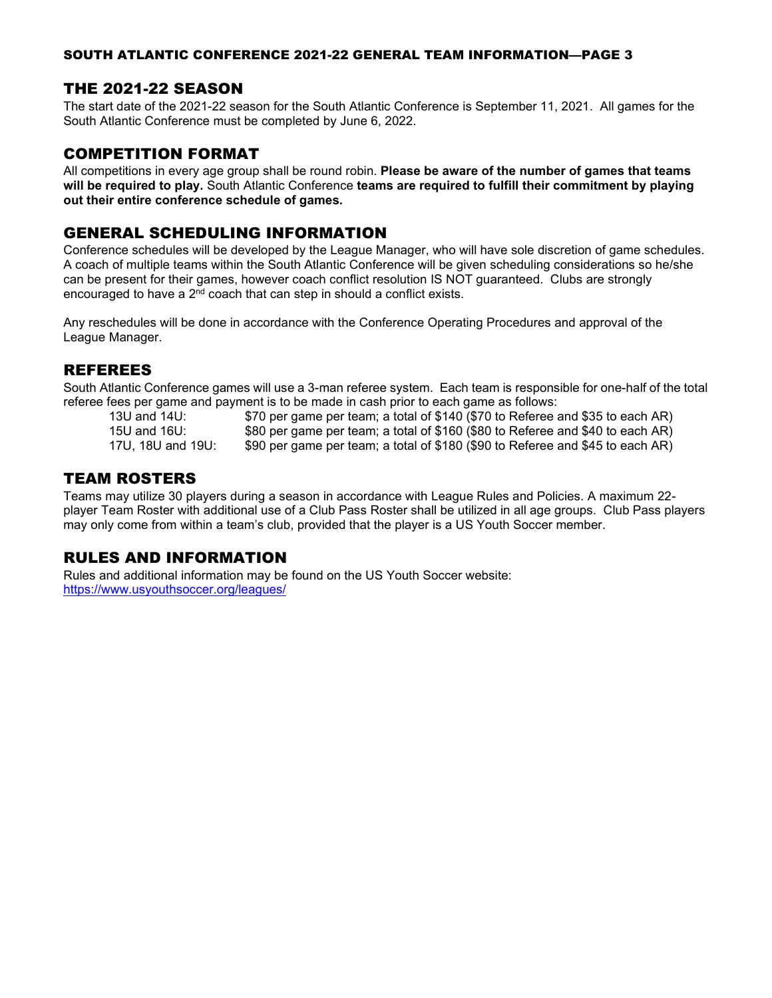#### SOUTH ATLANTIC CONFERENCE 2021-22 GENERAL TEAM INFORMATION—PAGE 3

# THE 2021-22 SEASON

The start date of the 2021-22 season for the South Atlantic Conference is September 11, 2021. All games for the South Atlantic Conference must be completed by June 6, 2022.

#### COMPETITION FORMAT

All competitions in every age group shall be round robin. **Please be aware of the number of games that teams will be required to play.** South Atlantic Conference **teams are required to fulfill their commitment by playing out their entire conference schedule of games.** 

#### GENERAL SCHEDULING INFORMATION

Conference schedules will be developed by the League Manager, who will have sole discretion of game schedules. A coach of multiple teams within the South Atlantic Conference will be given scheduling considerations so he/she can be present for their games, however coach conflict resolution IS NOT guaranteed. Clubs are strongly encouraged to have a  $2<sup>nd</sup>$  coach that can step in should a conflict exists.

Any reschedules will be done in accordance with the Conference Operating Procedures and approval of the League Manager.

#### REFEREES

South Atlantic Conference games will use a 3-man referee system. Each team is responsible for one-half of the total referee fees per game and payment is to be made in cash prior to each game as follows:<br>13U and 14U: \$70 per game per team: a total of \$140 (\$70 to Referee

\$70 per game per team; a total of \$140 (\$70 to Referee and \$35 to each AR) 15U and 16U: \$80 per game per team; a total of \$160 (\$80 to Referee and \$40 to each AR) \$90 per game per team; a total of \$180 (\$90 to Referee and \$45 to each AR)

#### TEAM ROSTERS

Teams may utilize 30 players during a season in accordance with League Rules and Policies. A maximum 22 player Team Roster with additional use of a Club Pass Roster shall be utilized in all age groups. Club Pass players may only come from within a team's club, provided that the player is a US Youth Soccer member.

# RULES AND INFORMATION

Rules and additional information may be found on the US Youth Soccer website: <https://www.usyouthsoccer.org/leagues/>